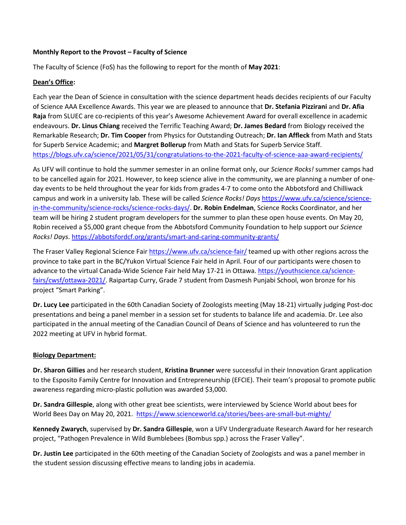#### **Monthly Report to the Provost – Faculty of Science**

The Faculty of Science (FoS) has the following to report for the month of **May 2021**:

#### **Dean's Office:**

Each year the Dean of Science in consultation with the science department heads decides recipients of our Faculty of Science AAA Excellence Awards. This year we are pleased to announce that **Dr. Stefania Pizzirani** and **Dr. Afia Raja** from SLUEC are co-recipients of this year's Awesome Achievement Award for overall excellence in academic endeavours. **Dr. Linus Chiang** received the Terrific Teaching Award; **Dr. James Bedard** from Biology received the Remarkable Research; **Dr. Tim Cooper** from Physics for Outstanding Outreach; **Dr. Ian Affleck** from Math and Stats for Superb Service Academic; and **Margret Bollerup** from Math and Stats for Superb Service Staff. <https://blogs.ufv.ca/science/2021/05/31/congratulations-to-the-2021-faculty-of-science-aaa-award-recipients/>

As UFV will continue to hold the summer semester in an online format only, our *Science Rocks!* summer camps had to be cancelled again for 2021. However, to keep science alive in the community, we are planning a number of oneday events to be held throughout the year for kids from grades 4-7 to come onto the Abbotsford and Chilliwack campus and work in a university lab. These will be called *Science Rocks! Days* [https://www.ufv.ca/science/science](https://www.ufv.ca/science/science-in-the-community/science-rocks/science-rocks-days/)[in-the-community/science-rocks/science-rocks-days/.](https://www.ufv.ca/science/science-in-the-community/science-rocks/science-rocks-days/) **Dr. Robin Endelman**, Science Rocks Coordinator, and her team will be hiring 2 student program developers for the summer to plan these open house events. On May 20, Robin received a \$5,000 grant cheque from the Abbotsford Community Foundation to help support our *Science Rocks! Days*.<https://abbotsfordcf.org/grants/smart-and-caring-community-grants/>

The Fraser Valley Regional Science Fair<https://www.ufv.ca/science-fair/> teamed up with other regions across the province to take part in the BC/Yukon Virtual Science Fair held in April. Four of our participants were chosen to advance to the virtual Canada-Wide Science Fair held May 17-21 in Ottawa. [https://youthscience.ca/science](https://youthscience.ca/science-fairs/cwsf/ottawa-2021/)[fairs/cwsf/ottawa-2021/.](https://youthscience.ca/science-fairs/cwsf/ottawa-2021/) Raipartap Curry, Grade 7 student from Dasmesh Punjabi School, won bronze for his project "Smart Parking".

**Dr. Lucy Lee** participated in the 60th Canadian Society of Zoologists meeting (May 18-21) virtually judging Post-doc presentations and being a panel member in a session set for students to balance life and academia. Dr. Lee also participated in the annual meeting of the Canadian Council of Deans of Science and has volunteered to run the 2022 meeting at UFV in hybrid format.

# **Biology Department:**

**Dr. Sharon Gillies** and her research student, **Kristina Brunner** were successful in their Innovation Grant application to the Esposito Family Centre for Innovation and Entrepreneurship (EFCIE). Their team's proposal to promote public awareness regarding micro-plastic pollution was awarded \$3,000.

**Dr. Sandra Gillespie**, along with other great bee scientists, were interviewed by Science World about bees for World Bees Day on May 20, 2021.<https://www.scienceworld.ca/stories/bees-are-small-but-mighty/>

**Kennedy Zwarych**, supervised by **Dr. Sandra Gillespie**, won a UFV Undergraduate Research Award for her research project, "Pathogen Prevalence in Wild Bumblebees (Bombus spp.) across the Fraser Valley".

**Dr. Justin Lee** participated in the 60th meeting of the Canadian Society of Zoologists and was a panel member in the student session discussing effective means to landing jobs in academia.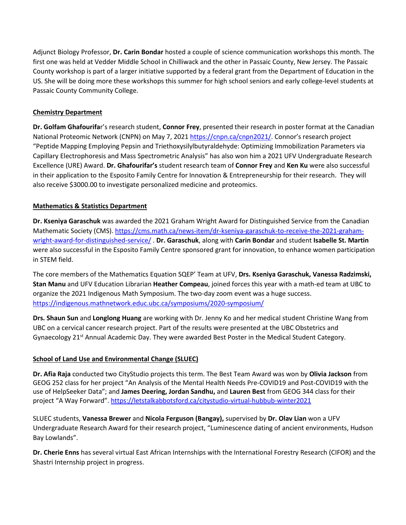Adjunct Biology Professor, **Dr. Carin Bondar** hosted a couple of science communication workshops this month. The first one was held at Vedder Middle School in Chilliwack and the other in Passaic County, New Jersey. The Passaic County workshop is part of a larger initiative supported by a federal grant from the Department of Education in the US. She will be doing more these workshops this summer for high school seniors and early college-level students at Passaic County Community College.

# **Chemistry Department**

**Dr. Golfam Ghafourifa**r's research student, **Connor Frey**, presented their research in poster format at the Canadian National Proteomic Network (CNPN) on May 7, 2021 [https://cnpn.ca/cnpn2021/.](https://cnpn.ca/cnpn2021/) Connor's research project "Peptide Mapping Employing Pepsin and Triethoxysilylbutyraldehyde: Optimizing Immobilization Parameters via Capillary Electrophoresis and Mass Spectrometric Analysis" has also won him a 2021 UFV Undergraduate Research Excellence (URE) Award. **Dr. Ghafourifar's** student research team of **Connor Frey** and **Ken Ku** were also successful in their application to the Esposito Family Centre for Innovation & Entrepreneurship for their research. They will also receive \$3000.00 to investigate personalized medicine and proteomics.

#### **Mathematics & Statistics Department**

**Dr. Kseniya Garaschuk** was awarded the 2021 Graham Wright Award for Distinguished Service from the Canadian Mathematic Society (CMS)[. https://cms.math.ca/news-item/dr-kseniya-garaschuk-to-receive-the-2021-graham](https://cms.math.ca/news-item/dr-kseniya-garaschuk-to-receive-the-2021-graham-wright-award-for-distinguished-service/)[wright-award-for-distinguished-service/](https://cms.math.ca/news-item/dr-kseniya-garaschuk-to-receive-the-2021-graham-wright-award-for-distinguished-service/) . **Dr. Garaschuk**, along with **Carin Bondar** and student **Isabelle St. Martin** were also successful in the Esposito Family Centre sponsored grant for innovation, to enhance women participation in STEM field.

The core members of the Mathematics Equation SQEP' Team at UFV, **Drs. Kseniya Garaschuk, Vanessa Radzimski, Stan Manu** and UFV Education Librarian **Heather Compeau**, joined forces this year with a math-ed team at UBC to organize the 2021 Indigenous Math Symposium. The two-day zoom event was a huge success. <https://indigenous.mathnetwork.educ.ubc.ca/symposiums/2020-symposium/>

**Drs. Shaun Sun** and **Longlong Huang** are working with Dr. Jenny Ko and her medical student Christine Wang from UBC on a cervical cancer research project. Part of the results were presented at the UBC Obstetrics and Gynaecology 21<sup>st</sup> Annual Academic Day. They were awarded Best Poster in the Medical Student Category.

# **School of Land Use and Environmental Change (SLUEC)**

**Dr. Afia Raja** conducted two CityStudio projects this term. The Best Team Award was won by **Olivia Jackson** from GEOG 252 class for her project "An Analysis of the Mental Health Needs Pre-COVID19 and Post-COVID19 with the use of HelpSeeker Data"; and **James Deering, Jordan Sandhu,** and **Lauren Best** from GEOG 344 class for their project "A Way Forward".<https://letstalkabbotsford.ca/citystudio-virtual-hubbub-winter2021>

SLUEC students, **Vanessa Brewer** and **Nicola Ferguson (Bangay),** supervised by **Dr. Olav Lian** won a UFV Undergraduate Research Award for their research project, "Luminescence dating of ancient environments, Hudson Bay Lowlands".

**Dr. Cherie Enns** has several virtual East African Internships with the International Forestry Research (CIFOR) and the Shastri Internship project in progress.